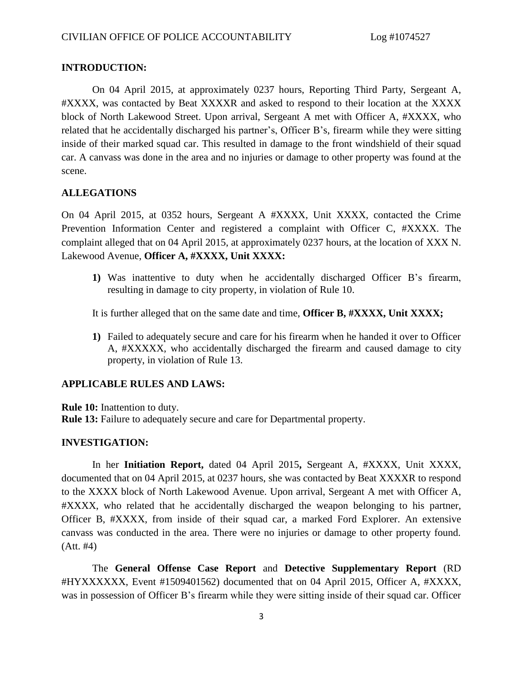## **INTRODUCTION:**

On 04 April 2015, at approximately 0237 hours, Reporting Third Party, Sergeant A, #XXXX, was contacted by Beat XXXXR and asked to respond to their location at the XXXX block of North Lakewood Street. Upon arrival, Sergeant A met with Officer A, #XXXX, who related that he accidentally discharged his partner's, Officer B's, firearm while they were sitting inside of their marked squad car. This resulted in damage to the front windshield of their squad car. A canvass was done in the area and no injuries or damage to other property was found at the scene.

## **ALLEGATIONS**

On 04 April 2015, at 0352 hours, Sergeant A #XXXX, Unit XXXX, contacted the Crime Prevention Information Center and registered a complaint with Officer C, #XXXX. The complaint alleged that on 04 April 2015, at approximately 0237 hours, at the location of XXX N. Lakewood Avenue, **Officer A, #XXXX, Unit XXXX:**

**1)** Was inattentive to duty when he accidentally discharged Officer B's firearm, resulting in damage to city property, in violation of Rule 10.

It is further alleged that on the same date and time, **Officer B, #XXXX, Unit XXXX;**

**1)** Failed to adequately secure and care for his firearm when he handed it over to Officer A, #XXXXX, who accidentally discharged the firearm and caused damage to city property, in violation of Rule 13.

## **APPLICABLE RULES AND LAWS:**

**Rule 10:** Inattention to duty.

**Rule 13:** Failure to adequately secure and care for Departmental property.

## **INVESTIGATION:**

In her **Initiation Report,** dated 04 April 2015**,** Sergeant A, #XXXX, Unit XXXX, documented that on 04 April 2015, at 0237 hours, she was contacted by Beat XXXXR to respond to the XXXX block of North Lakewood Avenue. Upon arrival, Sergeant A met with Officer A, #XXXX, who related that he accidentally discharged the weapon belonging to his partner, Officer B, #XXXX, from inside of their squad car, a marked Ford Explorer. An extensive canvass was conducted in the area. There were no injuries or damage to other property found. (Att. #4)

The **General Offense Case Report** and **Detective Supplementary Report** (RD #HYXXXXXX, Event #1509401562) documented that on 04 April 2015, Officer A, #XXXX, was in possession of Officer B's firearm while they were sitting inside of their squad car. Officer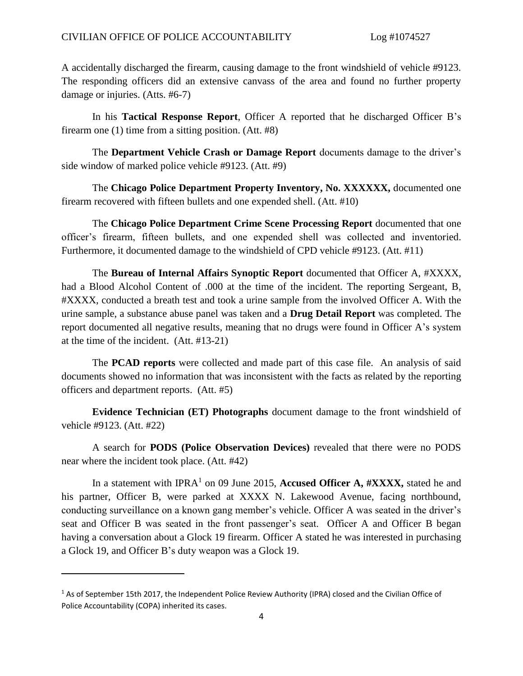A accidentally discharged the firearm, causing damage to the front windshield of vehicle #9123. The responding officers did an extensive canvass of the area and found no further property damage or injuries. (Atts. #6-7)

In his **Tactical Response Report**, Officer A reported that he discharged Officer B's firearm one (1) time from a sitting position. (Att. #8)

The **Department Vehicle Crash or Damage Report** documents damage to the driver's side window of marked police vehicle #9123. (Att. #9)

The **Chicago Police Department Property Inventory, No. XXXXXX,** documented one firearm recovered with fifteen bullets and one expended shell. (Att. #10)

The **Chicago Police Department Crime Scene Processing Report** documented that one officer's firearm, fifteen bullets, and one expended shell was collected and inventoried. Furthermore, it documented damage to the windshield of CPD vehicle #9123. (Att. #11)

The **Bureau of Internal Affairs Synoptic Report** documented that Officer A, #XXXX, had a Blood Alcohol Content of .000 at the time of the incident. The reporting Sergeant, B, #XXXX, conducted a breath test and took a urine sample from the involved Officer A. With the urine sample, a substance abuse panel was taken and a **Drug Detail Report** was completed. The report documented all negative results, meaning that no drugs were found in Officer A's system at the time of the incident. (Att. #13-21)

The **PCAD reports** were collected and made part of this case file. An analysis of said documents showed no information that was inconsistent with the facts as related by the reporting officers and department reports. (Att. #5)

**Evidence Technician (ET) Photographs** document damage to the front windshield of vehicle #9123. (Att. #22)

A search for **PODS (Police Observation Devices)** revealed that there were no PODS near where the incident took place. (Att. #42)

In a statement with IPRA<sup>1</sup> on 09 June 2015, **Accused Officer A, #XXXX**, stated he and his partner, Officer B, were parked at XXXX N. Lakewood Avenue, facing northbound, conducting surveillance on a known gang member's vehicle. Officer A was seated in the driver's seat and Officer B was seated in the front passenger's seat. Officer A and Officer B began having a conversation about a Glock 19 firearm. Officer A stated he was interested in purchasing a Glock 19, and Officer B's duty weapon was a Glock 19.

 $\overline{a}$ 

<sup>1</sup> As of September 15th 2017, the Independent Police Review Authority (IPRA) closed and the Civilian Office of Police Accountability (COPA) inherited its cases.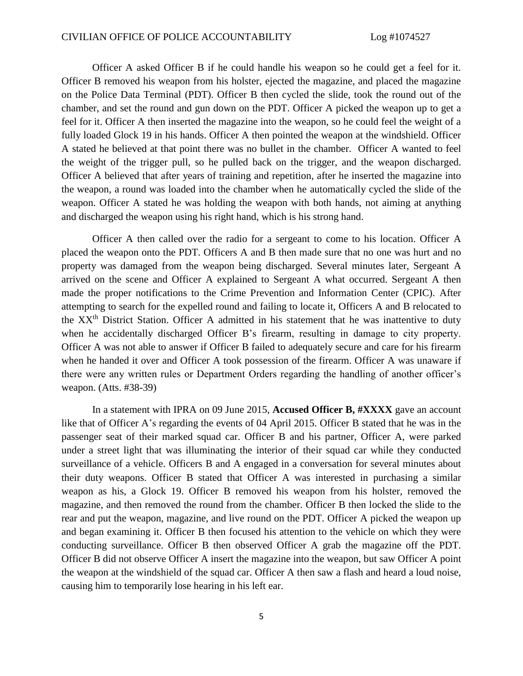Officer A asked Officer B if he could handle his weapon so he could get a feel for it. Officer B removed his weapon from his holster, ejected the magazine, and placed the magazine on the Police Data Terminal (PDT). Officer B then cycled the slide, took the round out of the chamber, and set the round and gun down on the PDT. Officer A picked the weapon up to get a feel for it. Officer A then inserted the magazine into the weapon, so he could feel the weight of a fully loaded Glock 19 in his hands. Officer A then pointed the weapon at the windshield. Officer A stated he believed at that point there was no bullet in the chamber. Officer A wanted to feel the weight of the trigger pull, so he pulled back on the trigger, and the weapon discharged. Officer A believed that after years of training and repetition, after he inserted the magazine into the weapon, a round was loaded into the chamber when he automatically cycled the slide of the weapon. Officer A stated he was holding the weapon with both hands, not aiming at anything and discharged the weapon using his right hand, which is his strong hand.

Officer A then called over the radio for a sergeant to come to his location. Officer A placed the weapon onto the PDT. Officers A and B then made sure that no one was hurt and no property was damaged from the weapon being discharged. Several minutes later, Sergeant A arrived on the scene and Officer A explained to Sergeant A what occurred. Sergeant A then made the proper notifications to the Crime Prevention and Information Center (CPIC). After attempting to search for the expelled round and failing to locate it, Officers A and B relocated to the XX<sup>th</sup> District Station. Officer A admitted in his statement that he was inattentive to duty when he accidentally discharged Officer B's firearm, resulting in damage to city property. Officer A was not able to answer if Officer B failed to adequately secure and care for his firearm when he handed it over and Officer A took possession of the firearm. Officer A was unaware if there were any written rules or Department Orders regarding the handling of another officer's weapon. (Atts. #38-39)

In a statement with IPRA on 09 June 2015, **Accused Officer B, #XXXX** gave an account like that of Officer A's regarding the events of 04 April 2015. Officer B stated that he was in the passenger seat of their marked squad car. Officer B and his partner, Officer A, were parked under a street light that was illuminating the interior of their squad car while they conducted surveillance of a vehicle. Officers B and A engaged in a conversation for several minutes about their duty weapons. Officer B stated that Officer A was interested in purchasing a similar weapon as his, a Glock 19. Officer B removed his weapon from his holster, removed the magazine, and then removed the round from the chamber. Officer B then locked the slide to the rear and put the weapon, magazine, and live round on the PDT. Officer A picked the weapon up and began examining it. Officer B then focused his attention to the vehicle on which they were conducting surveillance. Officer B then observed Officer A grab the magazine off the PDT. Officer B did not observe Officer A insert the magazine into the weapon, but saw Officer A point the weapon at the windshield of the squad car. Officer A then saw a flash and heard a loud noise, causing him to temporarily lose hearing in his left ear.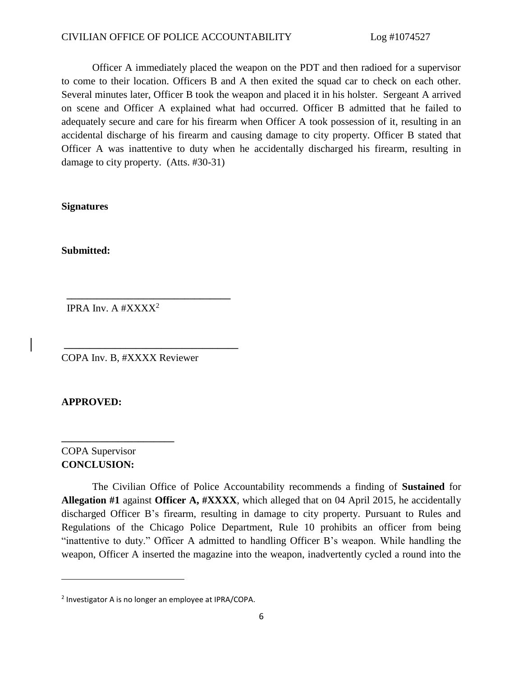#### CIVILIAN OFFICE OF POLICE ACCOUNTABILITY Log #1074527

Officer A immediately placed the weapon on the PDT and then radioed for a supervisor to come to their location. Officers B and A then exited the squad car to check on each other. Several minutes later, Officer B took the weapon and placed it in his holster. Sergeant A arrived on scene and Officer A explained what had occurred. Officer B admitted that he failed to adequately secure and care for his firearm when Officer A took possession of it, resulting in an accidental discharge of his firearm and causing damage to city property. Officer B stated that Officer A was inattentive to duty when he accidentally discharged his firearm, resulting in damage to city property. (Atts. #30-31)

**Signatures** 

**Submitted:**

IPRA Inv. A  $\#XXXX^2$ 

COPA Inv. B, #XXXX Reviewer

 **\_\_\_\_\_\_\_\_\_\_\_\_\_\_\_\_\_\_\_\_\_\_\_\_\_\_\_\_\_\_\_\_**

**\_\_\_\_\_\_\_\_\_\_\_\_\_\_\_\_\_\_\_\_\_\_\_\_\_\_\_\_\_\_\_\_\_\_** 

**APPROVED:**

# COPA Supervisor **CONCLUSION:**

 $\overline{\phantom{a}}$ 

**\_\_\_\_\_\_\_\_\_\_\_\_\_\_\_\_\_\_\_\_\_\_** 

The Civilian Office of Police Accountability recommends a finding of **Sustained** for **Allegation #1** against **Officer A, #XXXX**, which alleged that on 04 April 2015, he accidentally discharged Officer B's firearm, resulting in damage to city property. Pursuant to Rules and Regulations of the Chicago Police Department, Rule 10 prohibits an officer from being "inattentive to duty." Officer A admitted to handling Officer B's weapon. While handling the weapon, Officer A inserted the magazine into the weapon, inadvertently cycled a round into the

<sup>&</sup>lt;sup>2</sup> Investigator A is no longer an employee at IPRA/COPA.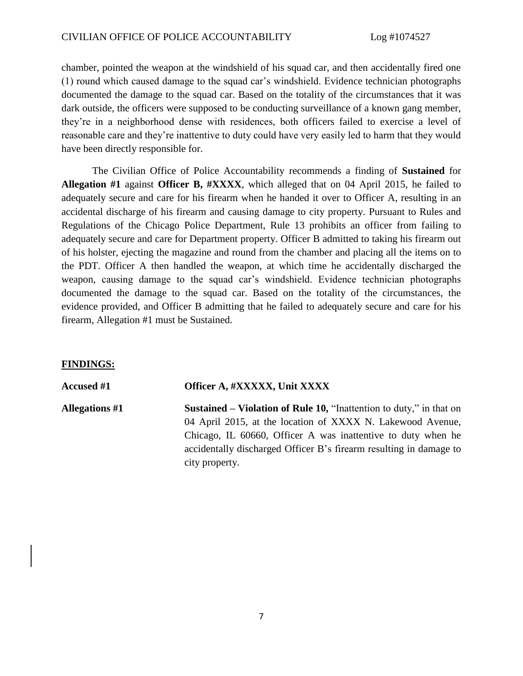chamber, pointed the weapon at the windshield of his squad car, and then accidentally fired one (1) round which caused damage to the squad car's windshield. Evidence technician photographs documented the damage to the squad car. Based on the totality of the circumstances that it was dark outside, the officers were supposed to be conducting surveillance of a known gang member, they're in a neighborhood dense with residences, both officers failed to exercise a level of reasonable care and they're inattentive to duty could have very easily led to harm that they would have been directly responsible for.

The Civilian Office of Police Accountability recommends a finding of **Sustained** for **Allegation #1** against **Officer B, #XXXX**, which alleged that on 04 April 2015, he failed to adequately secure and care for his firearm when he handed it over to Officer A, resulting in an accidental discharge of his firearm and causing damage to city property. Pursuant to Rules and Regulations of the Chicago Police Department, Rule 13 prohibits an officer from failing to adequately secure and care for Department property. Officer B admitted to taking his firearm out of his holster, ejecting the magazine and round from the chamber and placing all the items on to the PDT. Officer A then handled the weapon, at which time he accidentally discharged the weapon, causing damage to the squad car's windshield. Evidence technician photographs documented the damage to the squad car. Based on the totality of the circumstances, the evidence provided, and Officer B admitting that he failed to adequately secure and care for his firearm, Allegation #1 must be Sustained.

## **FINDINGS:**

## **Accused #1 Officer A, #XXXXX, Unit XXXX**

**Allegations #1 Sustained – Violation of Rule 10,** "Inattention to duty," in that on 04 April 2015, at the location of XXXX N. Lakewood Avenue, Chicago, IL 60660, Officer A was inattentive to duty when he accidentally discharged Officer B's firearm resulting in damage to city property.